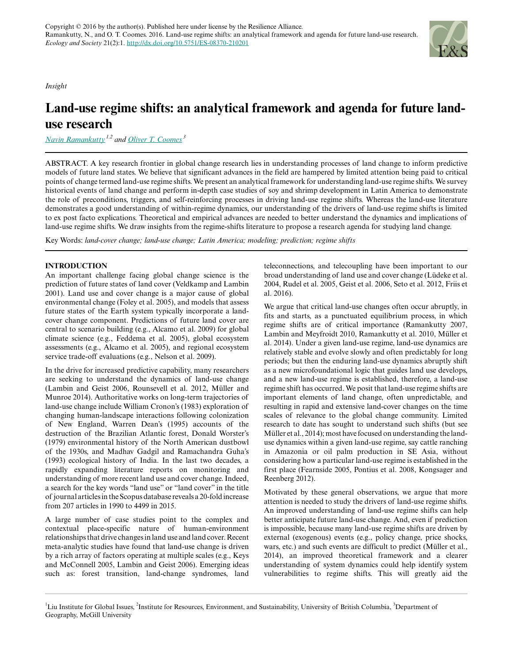*Insight*

# **Land-use regime shifts: an analytical framework and agenda for future landuse research**

*[Navin Ramankutty](mailto:navin.ramankutty@ubc.ca) 1,2 and [Oliver T. Coomes](mailto:oliver.coomes@mcgill.ca)<sup>3</sup>*

ABSTRACT. A key research frontier in global change research lies in understanding processes of land change to inform predictive models of future land states. We believe that significant advances in the field are hampered by limited attention being paid to critical points of change termed land-use regime shifts. We present an analytical framework for understanding land-use regime shifts. We survey historical events of land change and perform in-depth case studies of soy and shrimp development in Latin America to demonstrate the role of preconditions, triggers, and self-reinforcing processes in driving land-use regime shifts. Whereas the land-use literature demonstrates a good understanding of within-regime dynamics, our understanding of the drivers of land-use regime shifts is limited to ex post facto explications. Theoretical and empirical advances are needed to better understand the dynamics and implications of land-use regime shifts. We draw insights from the regime-shifts literature to propose a research agenda for studying land change.

Key Words: *land-cover change; land-use change; Latin America; modeling; prediction; regime shifts*

# **INTRODUCTION**

An important challenge facing global change science is the prediction of future states of land cover (Veldkamp and Lambin 2001). Land use and cover change is a major cause of global environmental change (Foley et al. 2005), and models that assess future states of the Earth system typically incorporate a landcover change component. Predictions of future land cover are central to scenario building (e.g., Alcamo et al. 2009) for global climate science (e.g., Feddema et al. 2005), global ecosystem assessments (e.g., Alcamo et al. 2005), and regional ecosystem service trade-off evaluations (e.g., Nelson et al. 2009).

In the drive for increased predictive capability, many researchers are seeking to understand the dynamics of land-use change (Lambin and Geist 2006, Rounsevell et al. 2012, Müller and Munroe 2014). Authoritative works on long-term trajectories of land-use change include William Cronon's (1983) exploration of changing human-landscape interactions following colonization of New England, Warren Dean's (1995) accounts of the destruction of the Brazilian Atlantic forest, Donald Worster's (1979) environmental history of the North American dustbowl of the 1930s, and Madhav Gadgil and Ramachandra Guha's (1993) ecological history of India. In the last two decades, a rapidly expanding literature reports on monitoring and understanding of more recent land use and cover change. Indeed, a search for the key words "land use" or "land cover" in the title of journal articles in the Scopus database reveals a 20-fold increase from 207 articles in 1990 to 4499 in 2015.

A large number of case studies point to the complex and contextual place-specific nature of human-environment relationships that drive changes in land use and land cover. Recent meta-analytic studies have found that land-use change is driven by a rich array of factors operating at multiple scales (e.g., Keys and McConnell 2005, Lambin and Geist 2006). Emerging ideas such as: forest transition, land-change syndromes, land teleconnections, and telecoupling have been important to our broad understanding of land use and cover change (Lüdeke et al. 2004, Rudel et al. 2005, Geist et al. 2006, Seto et al. 2012, Friis et al. 2016).

We argue that critical land-use changes often occur abruptly, in fits and starts, as a punctuated equilibrium process, in which regime shifts are of critical importance (Ramankutty 2007, Lambin and Meyfroidt 2010, Ramankutty et al. 2010, Müller et al. 2014). Under a given land-use regime, land-use dynamics are relatively stable and evolve slowly and often predictably for long periods; but then the enduring land-use dynamics abruptly shift as a new microfoundational logic that guides land use develops, and a new land-use regime is established, therefore, a land-use regime shift has occurred. We posit that land-use regime shifts are important elements of land change, often unpredictable, and resulting in rapid and extensive land-cover changes on the time scales of relevance to the global change community. Limited research to date has sought to understand such shifts (but see Müller et al., 2014); most have focused on understanding the landuse dynamics within a given land-use regime, say cattle ranching in Amazonia or oil palm production in SE Asia, without considering how a particular land-use regime is established in the first place (Fearnside 2005, Pontius et al. 2008, Kongsager and Reenberg 2012).

Motivated by these general observations, we argue that more attention is needed to study the drivers of land-use regime shifts. An improved understanding of land-use regime shifts can help better anticipate future land-use change. And, even if prediction is impossible, because many land-use regime shifts are driven by external (exogenous) events (e.g., policy change, price shocks, wars, etc.) and such events are difficult to predict (Müller et al., 2014), an improved theoretical framework and a clearer understanding of system dynamics could help identify system vulnerabilities to regime shifts. This will greatly aid the



<sup>&</sup>lt;sup>1</sup>Liu Institute for Global Issues, <sup>2</sup>Institute for Resources, Environment, and Sustainability, University of British Columbia, <sup>3</sup>Department of Geography, McGill University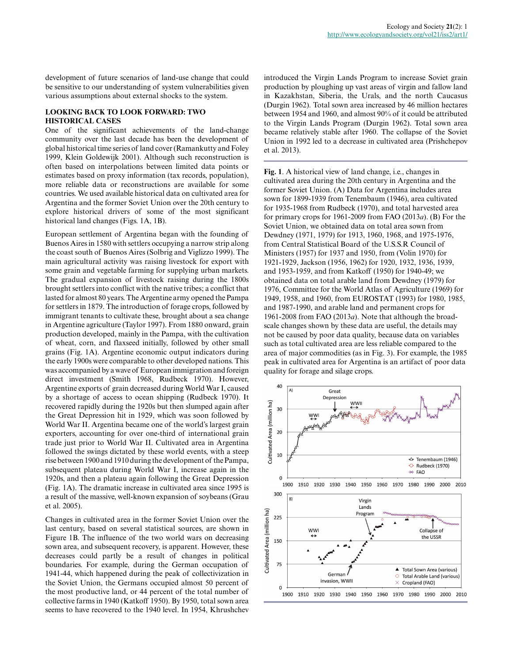development of future scenarios of land-use change that could be sensitive to our understanding of system vulnerabilities given various assumptions about external shocks to the system.

## **LOOKING BACK TO LOOK FORWARD: TWO HISTORICAL CASES**

One of the significant achievements of the land-change community over the last decade has been the development of global historical time series of land cover (Ramankutty and Foley 1999, Klein Goldewijk 2001). Although such reconstruction is often based on interpolations between limited data points or estimates based on proxy information (tax records, population), more reliable data or reconstructions are available for some countries. We used available historical data on cultivated area for Argentina and the former Soviet Union over the 20th century to explore historical drivers of some of the most significant historical land changes (Figs. 1A, 1B).

European settlement of Argentina began with the founding of Buenos Aires in 1580 with settlers occupying a narrow strip along the coast south of Buenos Aires (Solbrig and Viglizzo 1999). The main agricultural activity was raising livestock for export with some grain and vegetable farming for supplying urban markets. The gradual expansion of livestock raising during the 1800s brought settlers into conflict with the native tribes; a conflict that lasted for almost 80 years. The Argentine army opened the Pampa for settlers in 1879. The introduction of forage crops, followed by immigrant tenants to cultivate these, brought about a sea change in Argentine agriculture (Taylor 1997). From 1880 onward, grain production developed, mainly in the Pampa, with the cultivation of wheat, corn, and flaxseed initially, followed by other small grains (Fig. 1A). Argentine economic output indicators during the early 1900s were comparable to other developed nations. This was accompanied by a wave of European immigration and foreign direct investment (Smith 1968, Rudbeck 1970). However, Argentine exports of grain decreased during World War I, caused by a shortage of access to ocean shipping (Rudbeck 1970). It recovered rapidly during the 1920s but then slumped again after the Great Depression hit in 1929, which was soon followed by World War II. Argentina became one of the world's largest grain exporters, accounting for over one-third of international grain trade just prior to World War II. Cultivated area in Argentina followed the swings dictated by these world events, with a steep rise between 1900 and 1910 during the development of the Pampa, subsequent plateau during World War I, increase again in the 1920s, and then a plateau again following the Great Depression (Fig. 1A). The dramatic increase in cultivated area since 1995 is a result of the massive, well-known expansion of soybeans (Grau et al. 2005).

Changes in cultivated area in the former Soviet Union over the last century, based on several statistical sources, are shown in Figure 1B. The influence of the two world wars on decreasing sown area, and subsequent recovery, is apparent. However, these decreases could partly be a result of changes in political boundaries. For example, during the German occupation of 1941-44, which happened during the peak of collectivization in the Soviet Union, the Germans occupied almost 50 percent of the most productive land, or 44 percent of the total number of collective farms in 1940 (Katkoff 1950). By 1950, total sown area seems to have recovered to the 1940 level. In 1954, Khrushchev introduced the Virgin Lands Program to increase Soviet grain production by ploughing up vast areas of virgin and fallow land in Kazakhstan, Siberia, the Urals, and the north Caucasus (Durgin 1962). Total sown area increased by 46 million hectares between 1954 and 1960, and almost 90% of it could be attributed to the Virgin Lands Program (Durgin 1962). Total sown area became relatively stable after 1960. The collapse of the Soviet Union in 1992 led to a decrease in cultivated area (Prishchepov et al. 2013).

**Fig. 1**. A historical view of land change, i.e., changes in cultivated area during the 20th century in Argentina and the former Soviet Union. (A) Data for Argentina includes area sown for 1899-1939 from Tenembaum (1946), area cultivated for 1935-1968 from Rudbeck (1970), and total harvested area for primary crops for 1961-2009 from FAO (2013*a*). (B) For the Soviet Union, we obtained data on total area sown from Dewdney (1971, 1979) for 1913, 1960, 1968, and 1975-1976, from Central Statistical Board of the U.S.S.R Council of Ministers (1957) for 1937 and 1950, from (Volin 1970) for 1921-1929, Jackson (1956, 1962) for 1920, 1932, 1936, 1939, and 1953-1959, and from Katkoff (1950) for 1940-49; we obtained data on total arable land from Dewdney (1979) for 1976, Committee for the World Atlas of Agriculture (1969) for 1949, 1958, and 1960, from EUROSTAT (1993) for 1980, 1985, and 1987-1990, and arable land and permanent crops for 1961-2008 from FAO (2013*a*). Note that although the broadscale changes shown by these data are useful, the details may not be caused by poor data quality, because data on variables such as total cultivated area are less reliable compared to the area of major commodities (as in Fig. 3). For example, the 1985 peak in cultivated area for Argentina is an artifact of poor data quality for forage and silage crops.

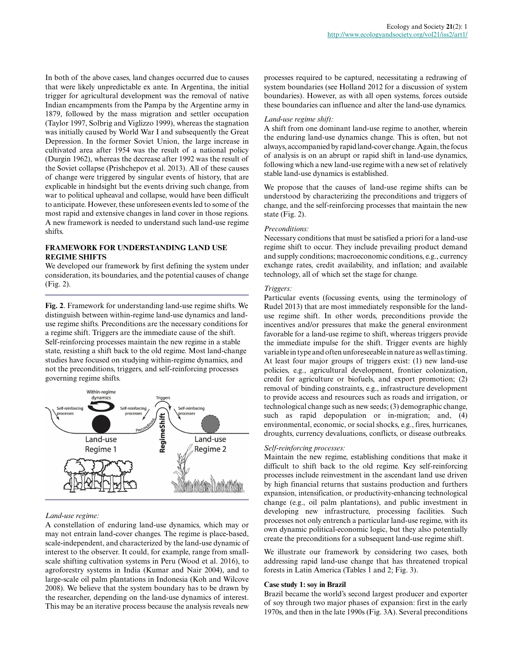In both of the above cases, land changes occurred due to causes that were likely unpredictable ex ante. In Argentina, the initial trigger for agricultural development was the removal of native Indian encampments from the Pampa by the Argentine army in 1879, followed by the mass migration and settler occupation (Taylor 1997, Solbrig and Viglizzo 1999), whereas the stagnation was initially caused by World War I and subsequently the Great Depression. In the former Soviet Union, the large increase in cultivated area after 1954 was the result of a national policy (Durgin 1962), whereas the decrease after 1992 was the result of the Soviet collapse (Prishchepov et al. 2013). All of these causes of change were triggered by singular events of history, that are explicable in hindsight but the events driving such change, from war to political upheaval and collapse, would have been difficult to anticipate. However, these unforeseen events led to some of the most rapid and extensive changes in land cover in those regions. A new framework is needed to understand such land-use regime shifts.

### **FRAMEWORK FOR UNDERSTANDING LAND USE REGIME SHIFTS**

We developed our framework by first defining the system under consideration, its boundaries, and the potential causes of change (Fig. 2).

**Fig. 2**. Framework for understanding land-use regime shifts. We distinguish between within-regime land-use dynamics and landuse regime shifts. Preconditions are the necessary conditions for a regime shift. Triggers are the immediate cause of the shift. Self-reinforcing processes maintain the new regime in a stable state, resisting a shift back to the old regime. Most land-change studies have focused on studying within-regime dynamics, and not the preconditions, triggers, and self-reinforcing processes governing regime shifts.



#### *Land-use regime:*

A constellation of enduring land-use dynamics, which may or may not entrain land-cover changes. The regime is place-based, scale-independent, and characterized by the land-use dynamic of interest to the observer. It could, for example, range from smallscale shifting cultivation systems in Peru (Wood et al. 2016), to agroforestry systems in India (Kumar and Nair 2004), and to large-scale oil palm plantations in Indonesia (Koh and Wilcove 2008). We believe that the system boundary has to be drawn by the researcher, depending on the land-use dynamics of interest. This may be an iterative process because the analysis reveals new processes required to be captured, necessitating a redrawing of system boundaries (see Holland 2012 for a discussion of system boundaries). However, as with all open systems, forces outside these boundaries can influence and alter the land-use dynamics.

#### *Land-use regime shift:*

A shift from one dominant land-use regime to another, wherein the enduring land-use dynamics change. This is often, but not always, accompanied by rapid land-cover change. Again, the focus of analysis is on an abrupt or rapid shift in land-use dynamics, following which a new land-use regime with a new set of relatively stable land-use dynamics is established.

We propose that the causes of land-use regime shifts can be understood by characterizing the preconditions and triggers of change, and the self-reinforcing processes that maintain the new state (Fig. 2).

#### *Preconditions:*

Necessary conditions that must be satisfied a priori for a land-use regime shift to occur. They include prevailing product demand and supply conditions; macroeconomic conditions, e.g., currency exchange rates, credit availability, and inflation; and available technology, all of which set the stage for change.

#### *Triggers:*

Particular events (focussing events, using the terminology of Rudel 2013) that are most immediately responsible for the landuse regime shift. In other words, preconditions provide the incentives and/or pressures that make the general environment favorable for a land-use regime to shift, whereas triggers provide the immediate impulse for the shift. Trigger events are highly variable in type and often unforeseeable in nature as well as timing. At least four major groups of triggers exist: (1) new land-use policies, e.g., agricultural development, frontier colonization, credit for agriculture or biofuels, and export promotion; (2) removal of binding constraints, e.g., infrastructure development to provide access and resources such as roads and irrigation, or technological change such as new seeds; (3) demographic change, such as rapid depopulation or in-migration; and, (4) environmental, economic, or social shocks, e.g., fires, hurricanes, droughts, currency devaluations, conflicts, or disease outbreaks.

#### *Self-reinforcing processes:*

Maintain the new regime, establishing conditions that make it difficult to shift back to the old regime. Key self-reinforcing processes include reinvestment in the ascendant land use driven by high financial returns that sustains production and furthers expansion, intensification, or productivity-enhancing technological change (e.g., oil palm plantations), and public investment in developing new infrastructure, processing facilities. Such processes not only entrench a particular land-use regime, with its own dynamic political-economic logic, but they also potentially create the preconditions for a subsequent land-use regime shift.

We illustrate our framework by considering two cases, both addressing rapid land-use change that has threatened tropical forests in Latin America (Tables 1 and 2; Fig. 3).

#### **Case study 1: soy in Brazil**

Brazil became the world's second largest producer and exporter of soy through two major phases of expansion: first in the early 1970s, and then in the late 1990s (Fig. 3A). Several preconditions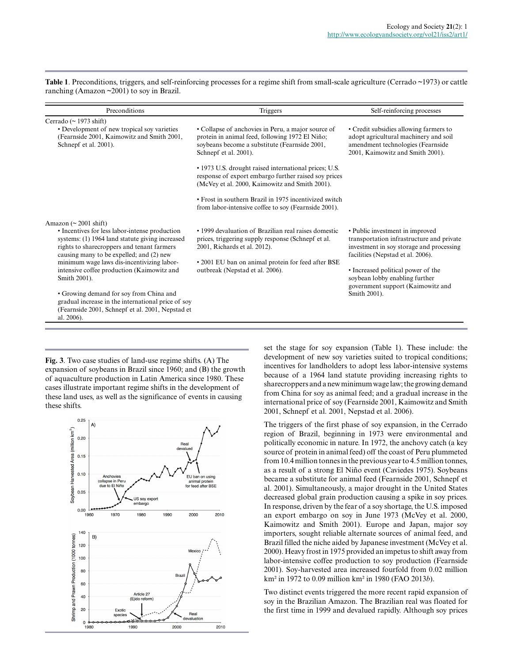Table 1. Preconditions, triggers, and self-reinforcing processes for a regime shift from small-scale agriculture (Cerrado ~1973) or cattle ranching (Amazon ~2001) to soy in Brazil.

| Preconditions                                                                                                                                                                                                                                                                                                                                                                                                                                                                                             | Triggers                                                                                                                                                                                                                                                                                                                                                                                                                                                             | Self-reinforcing processes                                                                                                                                                                                                                                                                 |
|-----------------------------------------------------------------------------------------------------------------------------------------------------------------------------------------------------------------------------------------------------------------------------------------------------------------------------------------------------------------------------------------------------------------------------------------------------------------------------------------------------------|----------------------------------------------------------------------------------------------------------------------------------------------------------------------------------------------------------------------------------------------------------------------------------------------------------------------------------------------------------------------------------------------------------------------------------------------------------------------|--------------------------------------------------------------------------------------------------------------------------------------------------------------------------------------------------------------------------------------------------------------------------------------------|
| Cerrado (~ 1973 shift)<br>• Development of new tropical soy varieties<br>(Fearnside 2001, Kaimowitz and Smith 2001,<br>Schnepf et al. 2001).                                                                                                                                                                                                                                                                                                                                                              | • Collapse of anchovies in Peru, a major source of<br>protein in animal feed, following 1972 El Niño;<br>soybeans become a substitute (Fearnside 2001,<br>Schnepf et al. 2001).<br>• 1973 U.S. drought raised international prices; U.S.<br>response of export embargo further raised soy prices<br>(McVey et al. 2000, Kaimowitz and Smith 2001).<br>• Frost in southern Brazil in 1975 incentivized switch<br>from labor-intensive coffee to soy (Fearnside 2001). | • Credit subsidies allowing farmers to<br>adopt agricultural machinery and soil<br>amendment technologies (Fearnside<br>2001, Kaimowitz and Smith 2001).                                                                                                                                   |
| Amazon ( $\sim$ 2001 shift)<br>• Incentives for less labor-intense production<br>systems: (1) 1964 land statute giving increased<br>rights to sharecroppers and tenant farmers<br>causing many to be expelled; and (2) new<br>minimum wage laws dis-incentivizing labor-<br>intensive coffee production (Kaimowitz and<br>Smith 2001).<br>• Growing demand for soy from China and<br>gradual increase in the international price of soy<br>(Fearnside 2001, Schnepf et al. 2001, Nepstad et<br>al. 2006). | • 1999 devaluation of Brazilian real raises domestic<br>prices, triggering supply response (Schnepf et al.<br>2001, Richards et al. 2012).<br>• 2001 EU ban on animal protein for feed after BSE<br>outbreak (Nepstad et al. 2006).                                                                                                                                                                                                                                  | • Public investment in improved<br>transportation infrastructure and private<br>investment in soy storage and processing<br>facilities (Nepstad et al. 2006).<br>• Increased political power of the<br>soybean lobby enabling further<br>government support (Kaimowitz and<br>Smith 2001). |

**Fig. 3**. Two case studies of land-use regime shifts. (A) The expansion of soybeans in Brazil since 1960; and (B) the growth of aquaculture production in Latin America since 1980. These cases illustrate important regime shifts in the development of these land uses, as well as the significance of events in causing these shifts.



set the stage for soy expansion (Table 1). These include: the development of new soy varieties suited to tropical conditions; incentives for landholders to adopt less labor-intensive systems because of a 1964 land statute providing increasing rights to sharecroppers and a new minimum wage law; the growing demand from China for soy as animal feed; and a gradual increase in the international price of soy (Fearnside 2001, Kaimowitz and Smith 2001, Schnepf et al. 2001, Nepstad et al. 2006).

The triggers of the first phase of soy expansion, in the Cerrado region of Brazil, beginning in 1973 were environmental and politically economic in nature. In 1972, the anchovy catch (a key source of protein in animal feed) off the coast of Peru plummeted from 10.4 million tonnes in the previous year to 4.5 million tonnes, as a result of a strong El Niño event (Caviedes 1975). Soybeans became a substitute for animal feed (Fearnside 2001, Schnepf et al. 2001). Simultaneously, a major drought in the United States decreased global grain production causing a spike in soy prices. In response, driven by the fear of a soy shortage, the U.S. imposed an export embargo on soy in June 1973 (McVey et al. 2000, Kaimowitz and Smith 2001). Europe and Japan, major soy importers, sought reliable alternate sources of animal feed, and Brazil filled the niche aided by Japanese investment (McVey et al. 2000). Heavy frost in 1975 provided an impetus to shift away from labor-intensive coffee production to soy production (Fearnside 2001). Soy-harvested area increased fourfold from 0.02 million km² in 1972 to 0.09 million km² in 1980 (FAO 2013*b*).

Two distinct events triggered the more recent rapid expansion of soy in the Brazilian Amazon. The Brazilian real was floated for the first time in 1999 and devalued rapidly. Although soy prices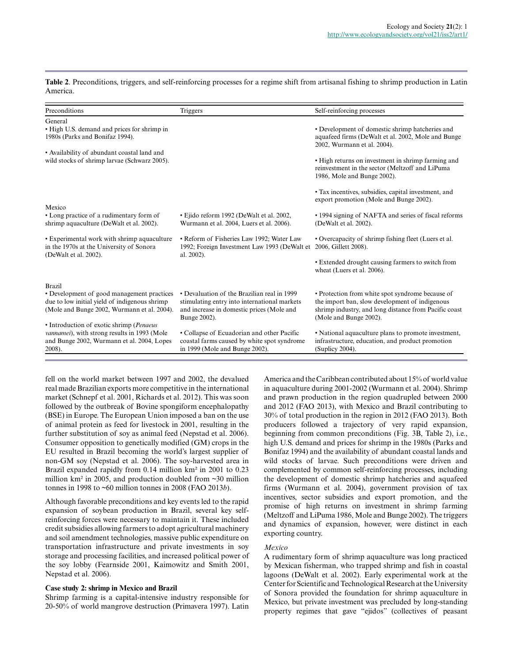**Table 2**. Preconditions, triggers, and self-reinforcing processes for a regime shift from artisanal fishing to shrimp production in Latin America.

| Preconditions                                                                                                                              | Triggers                                                                                                                                                 | Self-reinforcing processes                                                                                                                                                            |
|--------------------------------------------------------------------------------------------------------------------------------------------|----------------------------------------------------------------------------------------------------------------------------------------------------------|---------------------------------------------------------------------------------------------------------------------------------------------------------------------------------------|
| General                                                                                                                                    |                                                                                                                                                          |                                                                                                                                                                                       |
| • High U.S. demand and prices for shrimp in<br>1980s (Parks and Bonifaz 1994).                                                             |                                                                                                                                                          | • Development of domestic shrimp hatcheries and<br>aquafeed firms (DeWalt et al. 2002, Mole and Bunge<br>2002, Wurmann et al. 2004).                                                  |
| • Availability of abundant coastal land and                                                                                                |                                                                                                                                                          |                                                                                                                                                                                       |
| wild stocks of shrimp larvae (Schwarz 2005).                                                                                               |                                                                                                                                                          | • High returns on investment in shrimp farming and<br>reinvestment in the sector (Meltzoff and LiPuma<br>1986, Mole and Bunge 2002).                                                  |
|                                                                                                                                            |                                                                                                                                                          | • Tax incentives, subsidies, capital investment, and<br>export promotion (Mole and Bunge 2002).                                                                                       |
| Mexico                                                                                                                                     |                                                                                                                                                          |                                                                                                                                                                                       |
| • Long practice of a rudimentary form of<br>shrimp aquaculture (DeWalt et al. 2002).                                                       | • Ejido reform 1992 (DeWalt et al. 2002,<br>Wurmann et al. 2004, Luers et al. 2006).                                                                     | • 1994 signing of NAFTA and series of fiscal reforms<br>(DeWalt et al. 2002).                                                                                                         |
| • Experimental work with shrimp aquaculture<br>in the 1970s at the University of Sonora                                                    | • Reform of Fisheries Law 1992; Water Law<br>1992; Foreign Investment Law 1993 (DeWalt et                                                                | • Overcapacity of shrimp fishing fleet (Luers et al.<br>2006, Gillett 2008).                                                                                                          |
| (DeWalt et al. 2002).                                                                                                                      | al. 2002).                                                                                                                                               | • Extended drought causing farmers to switch from<br>wheat (Luers et al. 2006).                                                                                                       |
| <b>Brazil</b>                                                                                                                              |                                                                                                                                                          |                                                                                                                                                                                       |
| • Development of good management practices<br>due to low initial yield of indigenous shrimp<br>(Mole and Bunge 2002, Wurmann et al. 2004). | • Devaluation of the Brazilian real in 1999<br>stimulating entry into international markets<br>and increase in domestic prices (Mole and<br>Bunge 2002). | • Protection from white spot syndrome because of<br>the import ban, slow development of indigenous<br>shrimp industry, and long distance from Pacific coast<br>(Mole and Bunge 2002). |
| • Introduction of exotic shrimp (Penaeus                                                                                                   |                                                                                                                                                          |                                                                                                                                                                                       |
| vannamei), with strong results in 1993 (Mole<br>and Bunge 2002, Wurmann et al. 2004, Lopes<br>2008).                                       | • Collapse of Ecuadorian and other Pacific<br>coastal farms caused by white spot syndrome<br>in 1999 (Mole and Bunge 2002).                              | • National aquaculture plans to promote investment,<br>infrastructure, education, and product promotion<br>(Suplicy 2004).                                                            |

fell on the world market between 1997 and 2002, the devalued real made Brazilian exports more competitive in the international market (Schnepf et al. 2001, Richards et al. 2012). This was soon followed by the outbreak of Bovine spongiform encephalopathy (BSE) in Europe. The European Union imposed a ban on the use of animal protein as feed for livestock in 2001, resulting in the further substitution of soy as animal feed (Nepstad et al. 2006). Consumer opposition to genetically modified (GM) crops in the EU resulted in Brazil becoming the world's largest supplier of non-GM soy (Nepstad et al. 2006). The soy-harvested area in Brazil expanded rapidly from 0.14 million km² in 2001 to 0.23 million km<sup>2</sup> in 2005, and production doubled from  $\sim$ 30 million tonnes in 1998 to ~60 million tonnes in 2008 (FAO 2013*b*).

Although favorable preconditions and key events led to the rapid expansion of soybean production in Brazil, several key selfreinforcing forces were necessary to maintain it. These included credit subsidies allowing farmers to adopt agricultural machinery and soil amendment technologies, massive public expenditure on transportation infrastructure and private investments in soy storage and processing facilities, and increased political power of the soy lobby (Fearnside 2001, Kaimowitz and Smith 2001, Nepstad et al. 2006).

#### **Case study 2: shrimp in Mexico and Brazil**

Shrimp farming is a capital-intensive industry responsible for 20-50% of world mangrove destruction (Primavera 1997). Latin America and the Caribbean contributed about 15% of world value in aquaculture during 2001-2002 (Wurmann et al. 2004). Shrimp and prawn production in the region quadrupled between 2000 and 2012 (FAO 2013), with Mexico and Brazil contributing to 30% of total production in the region in 2012 (FAO 2013). Both producers followed a trajectory of very rapid expansion, beginning from common preconditions (Fig. 3B, Table 2), i.e., high U.S. demand and prices for shrimp in the 1980s (Parks and Bonifaz 1994) and the availability of abundant coastal lands and wild stocks of larvae. Such preconditions were driven and complemented by common self-reinforcing processes, including the development of domestic shrimp hatcheries and aquafeed firms (Wurmann et al. 2004), government provision of tax incentives, sector subsidies and export promotion, and the promise of high returns on investment in shrimp farming (Meltzoff and LiPuma 1986, Mole and Bunge 2002). The triggers and dynamics of expansion, however, were distinct in each exporting country.

## *Mexico*

A rudimentary form of shrimp aquaculture was long practiced by Mexican fisherman, who trapped shrimp and fish in coastal lagoons (DeWalt et al. 2002). Early experimental work at the Center for Scientific and Technological Research at the University of Sonora provided the foundation for shrimp aquaculture in Mexico, but private investment was precluded by long-standing property regimes that gave "ejidos" (collectives of peasant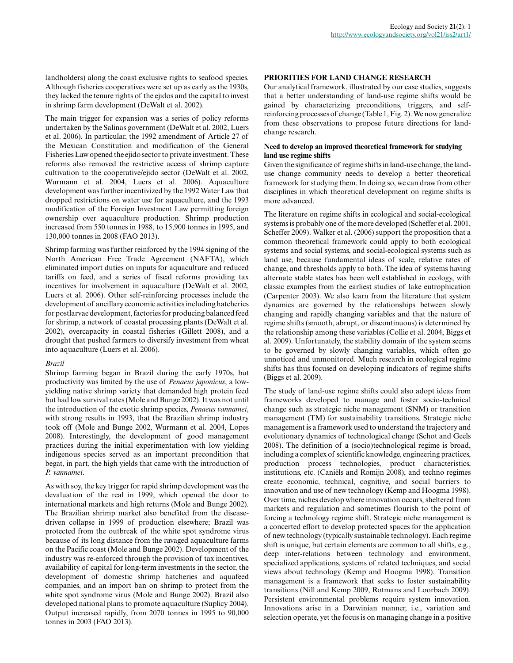landholders) along the coast exclusive rights to seafood species. Although fisheries cooperatives were set up as early as the 1930s, they lacked the tenure rights of the ejidos and the capital to invest in shrimp farm development (DeWalt et al. 2002).

The main trigger for expansion was a series of policy reforms undertaken by the Salinas government (DeWalt et al. 2002, Luers et al. 2006). In particular, the 1992 amendment of Article 27 of the Mexican Constitution and modification of the General Fisheries Law opened the ejido sector to private investment. These reforms also removed the restrictive access of shrimp capture cultivation to the cooperative/ejido sector (DeWalt et al. 2002, Wurmann et al. 2004, Luers et al. 2006). Aquaculture development was further incentivized by the 1992 Water Law that dropped restrictions on water use for aquaculture, and the 1993 modification of the Foreign Investment Law permitting foreign ownership over aquaculture production. Shrimp production increased from 550 tonnes in 1988, to 15,900 tonnes in 1995, and 130,000 tonnes in 2008 (FAO 2013).

Shrimp farming was further reinforced by the 1994 signing of the North American Free Trade Agreement (NAFTA), which eliminated import duties on inputs for aquaculture and reduced tariffs on feed, and a series of fiscal reforms providing tax incentives for involvement in aquaculture (DeWalt et al. 2002, Luers et al. 2006). Other self-reinforcing processes include the development of ancillary economic activities including hatcheries for postlarvae development, factories for producing balanced feed for shrimp, a network of coastal processing plants (DeWalt et al. 2002), overcapacity in coastal fisheries (Gillett 2008), and a drought that pushed farmers to diversify investment from wheat into aquaculture (Luers et al. 2006).

#### *Brazil*

Shrimp farming began in Brazil during the early 1970s, but productivity was limited by the use of *Penaeus japonicus*, a lowyielding native shrimp variety that demanded high protein feed but had low survival rates (Mole and Bunge 2002). It was not until the introduction of the exotic shrimp species, *Penaeus vannamei*, with strong results in 1993, that the Brazilian shrimp industry took off (Mole and Bunge 2002, Wurmann et al. 2004, Lopes 2008). Interestingly, the development of good management practices during the initial experimentation with low yielding indigenous species served as an important precondition that begat, in part, the high yields that came with the introduction of *P. vannamei*.

As with soy, the key trigger for rapid shrimp development was the devaluation of the real in 1999, which opened the door to international markets and high returns (Mole and Bunge 2002). The Brazilian shrimp market also benefited from the diseasedriven collapse in 1999 of production elsewhere; Brazil was protected from the outbreak of the white spot syndrome virus because of its long distance from the ravaged aquaculture farms on the Pacific coast (Mole and Bunge 2002). Development of the industry was re-enforced through the provision of tax incentives, availability of capital for long-term investments in the sector, the development of domestic shrimp hatcheries and aquafeed companies, and an import ban on shrimp to protect from the white spot syndrome virus (Mole and Bunge 2002). Brazil also developed national plans to promote aquaculture (Suplicy 2004). Output increased rapidly, from 2070 tonnes in 1995 to 90,000 tonnes in 2003 (FAO 2013).

## **PRIORITIES FOR LAND CHANGE RESEARCH**

Our analytical framework, illustrated by our case studies, suggests that a better understanding of land-use regime shifts would be gained by characterizing preconditions, triggers, and selfreinforcing processes of change (Table 1, Fig. 2). We now generalize from these observations to propose future directions for landchange research.

# **Need to develop an improved theoretical framework for studying land use regime shifts**

Given the significance of regime shifts in land-use change, the landuse change community needs to develop a better theoretical framework for studying them. In doing so, we can draw from other disciplines in which theoretical development on regime shifts is more advanced.

The literature on regime shifts in ecological and social-ecological systems is probably one of the more developed (Scheffer et al. 2001, Scheffer 2009). Walker et al. (2006) support the proposition that a common theoretical framework could apply to both ecological systems and social systems, and social-ecological systems such as land use, because fundamental ideas of scale, relative rates of change, and thresholds apply to both. The idea of systems having alternate stable states has been well established in ecology, with classic examples from the earliest studies of lake eutrophication (Carpenter 2003). We also learn from the literature that system dynamics are governed by the relationships between slowly changing and rapidly changing variables and that the nature of regime shifts (smooth, abrupt, or discontinuous) is determined by the relationship among these variables (Collie et al. 2004, Biggs et al. 2009). Unfortunately, the stability domain of the system seems to be governed by slowly changing variables, which often go unnoticed and unmonitored. Much research in ecological regime shifts has thus focused on developing indicators of regime shifts (Biggs et al. 2009).

The study of land-use regime shifts could also adopt ideas from frameworks developed to manage and foster socio-technical change such as strategic niche management (SNM) or transition management (TM) for sustainability transitions. Strategic niche management is a framework used to understand the trajectory and evolutionary dynamics of technological change (Schot and Geels 2008). The definition of a (socio)technological regime is broad, including a complex of scientific knowledge, engineering practices, production process technologies, product characteristics, institutions, etc. (Caniëls and Romijn 2008), and techno regimes create economic, technical, cognitive, and social barriers to innovation and use of new technology (Kemp and Hoogma 1998). Over time, niches develop where innovation occurs, sheltered from markets and regulation and sometimes flourish to the point of forcing a technology regime shift. Strategic niche management is a concerted effort to develop protected spaces for the application of new technology (typically sustainable technology). Each regime shift is unique, but certain elements are common to all shifts, e.g., deep inter-relations between technology and environment, specialized applications, systems of related techniques, and social views about technology (Kemp and Hoogma 1998). Transition management is a framework that seeks to foster sustainability transitions (Nill and Kemp 2009, Rotmans and Loorbach 2009). Persistent environmental problems require system innovation. Innovations arise in a Darwinian manner, i.e., variation and selection operate, yet the focus is on managing change in a positive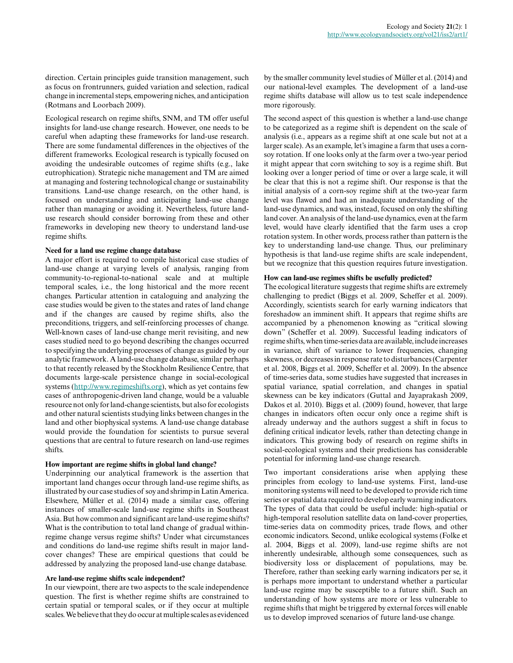direction. Certain principles guide transition management, such as focus on frontrunners, guided variation and selection, radical change in incremental steps, empowering niches, and anticipation (Rotmans and Loorbach 2009).

Ecological research on regime shifts, SNM, and TM offer useful insights for land-use change research. However, one needs to be careful when adapting these frameworks for land-use research. There are some fundamental differences in the objectives of the different frameworks. Ecological research is typically focused on avoiding the undesirable outcomes of regime shifts (e.g., lake eutrophication). Strategic niche management and TM are aimed at managing and fostering technological change or sustainability transitions. Land-use change research, on the other hand, is focused on understanding and anticipating land-use change rather than managing or avoiding it. Nevertheless, future landuse research should consider borrowing from these and other frameworks in developing new theory to understand land-use regime shifts.

#### **Need for a land use regime change database**

A major effort is required to compile historical case studies of land-use change at varying levels of analysis, ranging from community-to-regional-to-national scale and at multiple temporal scales, i.e., the long historical and the more recent changes. Particular attention in cataloguing and analyzing the case studies would be given to the states and rates of land change and if the changes are caused by regime shifts, also the preconditions, triggers, and self-reinforcing processes of change. Well-known cases of land-use change merit revisiting, and new cases studied need to go beyond describing the changes occurred to specifying the underlying processes of change as guided by our analytic framework. A land-use change database, similar perhaps to that recently released by the Stockholm Resilience Centre, that documents large-scale persistence change in social-ecological systems [\(http://www.regimeshifts.org](http://www.regimeshifts.org)), which as yet contains few cases of anthropogenic-driven land change, would be a valuable resource not only for land-change scientists, but also for ecologists and other natural scientists studying links between changes in the land and other biophysical systems. A land-use change database would provide the foundation for scientists to pursue several questions that are central to future research on land-use regimes shifts.

#### **How important are regime shifts in global land change?**

Underpinning our analytical framework is the assertion that important land changes occur through land-use regime shifts, as illustrated by our case studies of soy and shrimp in Latin America. Elsewhere, Müller et al. (2014) made a similar case, offering instances of smaller-scale land-use regime shifts in Southeast Asia. But how common and significant are land-use regime shifts? What is the contribution to total land change of gradual withinregime change versus regime shifts? Under what circumstances and conditions do land-use regime shifts result in major landcover changes? These are empirical questions that could be addressed by analyzing the proposed land-use change database.

#### **Are land-use regime shifts scale independent?**

In our viewpoint, there are two aspects to the scale independence question. The first is whether regime shifts are constrained to certain spatial or temporal scales, or if they occur at multiple scales. We believe that they do occur at multiple scales as evidenced by the smaller community level studies of Müller et al. (2014) and our national-level examples. The development of a land-use regime shifts database will allow us to test scale independence more rigorously.

The second aspect of this question is whether a land-use change to be categorized as a regime shift is dependent on the scale of analysis (i.e., appears as a regime shift at one scale but not at a larger scale). As an example, let's imagine a farm that uses a cornsoy rotation. If one looks only at the farm over a two-year period it might appear that corn switching to soy is a regime shift. But looking over a longer period of time or over a large scale, it will be clear that this is not a regime shift. Our response is that the initial analysis of a corn-soy regime shift at the two-year farm level was flawed and had an inadequate understanding of the land-use dynamics, and was, instead, focused on only the shifting land cover. An analysis of the land-use dynamics, even at the farm level, would have clearly identified that the farm uses a crop rotation system. In other words, process rather than pattern is the key to understanding land-use change. Thus, our preliminary hypothesis is that land-use regime shifts are scale independent, but we recognize that this question requires future investigation.

#### **How can land-use regimes shifts be usefully predicted?**

The ecological literature suggests that regime shifts are extremely challenging to predict (Biggs et al. 2009, Scheffer et al. 2009). Accordingly, scientists search for early warning indicators that foreshadow an imminent shift. It appears that regime shifts are accompanied by a phenomenon knowing as "critical slowing down" (Scheffer et al. 2009). Successful leading indicators of regime shifts, when time-series data are available, include increases in variance, shift of variance to lower frequencies, changing skewness, or decreases in response rate to disturbances (Carpenter et al. 2008, Biggs et al. 2009, Scheffer et al. 2009). In the absence of time-series data, some studies have suggested that increases in spatial variance, spatial correlation, and changes in spatial skewness can be key indicators (Guttal and Jayaprakash 2009, Dakos et al. 2010). Biggs et al. (2009) found, however, that large changes in indicators often occur only once a regime shift is already underway and the authors suggest a shift in focus to defining critical indicator levels, rather than detecting change in indicators. This growing body of research on regime shifts in social-ecological systems and their predictions has considerable potential for informing land-use change research.

Two important considerations arise when applying these principles from ecology to land-use systems. First, land-use monitoring systems will need to be developed to provide rich time series or spatial data required to develop early warning indicators. The types of data that could be useful include: high-spatial or high-temporal resolution satellite data on land-cover properties, time-series data on commodity prices, trade flows, and other economic indicators. Second, unlike ecological systems (Folke et al. 2004, Biggs et al. 2009), land-use regime shifts are not inherently undesirable, although some consequences, such as biodiversity loss or displacement of populations, may be. Therefore, rather than seeking early warning indicators per se, it is perhaps more important to understand whether a particular land-use regime may be susceptible to a future shift. Such an understanding of how systems are more or less vulnerable to regime shifts that might be triggered by external forces will enable us to develop improved scenarios of future land-use change.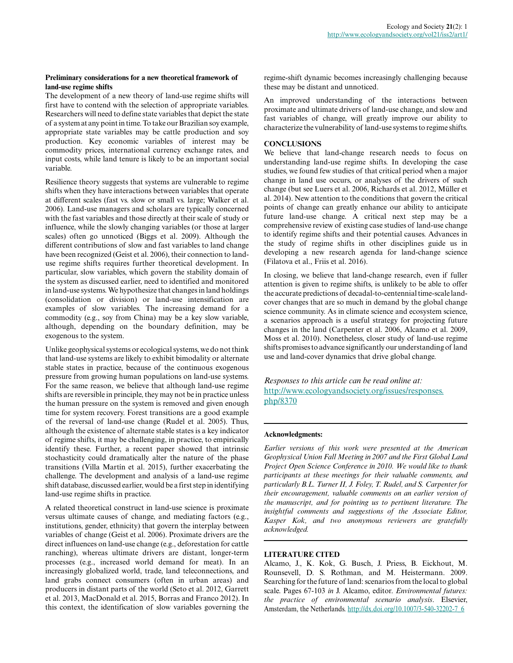#### **Preliminary considerations for a new theoretical framework of land-use regime shifts**

The development of a new theory of land-use regime shifts will first have to contend with the selection of appropriate variables. Researchers will need to define state variables that depict the state of a system at any point in time. To take our Brazilian soy example, appropriate state variables may be cattle production and soy production. Key economic variables of interest may be commodity prices, international currency exchange rates, and input costs, while land tenure is likely to be an important social variable.

Resilience theory suggests that systems are vulnerable to regime shifts when they have interactions between variables that operate at different scales (fast vs. slow or small vs. large; Walker et al. 2006). Land-use managers and scholars are typically concerned with the fast variables and those directly at their scale of study or influence, while the slowly changing variables (or those at larger scales) often go unnoticed (Biggs et al. 2009). Although the different contributions of slow and fast variables to land change have been recognized (Geist et al. 2006), their connection to landuse regime shifts requires further theoretical development. In particular, slow variables, which govern the stability domain of the system as discussed earlier, need to identified and monitored in land-use systems. We hypothesize that changes in land holdings (consolidation or division) or land-use intensification are examples of slow variables. The increasing demand for a commodity (e.g., soy from China) may be a key slow variable, although, depending on the boundary definition, may be exogenous to the system.

Unlike geophysical systems or ecological systems, we do not think that land-use systems are likely to exhibit bimodality or alternate stable states in practice, because of the continuous exogenous pressure from growing human populations on land-use systems. For the same reason, we believe that although land-use regime shifts are reversible in principle, they may not be in practice unless the human pressure on the system is removed and given enough time for system recovery. Forest transitions are a good example of the reversal of land-use change (Rudel et al. 2005). Thus, although the existence of alternate stable states is a key indicator of regime shifts, it may be challenging, in practice, to empirically identify these. Further, a recent paper showed that intrinsic stochasticity could dramatically alter the nature of the phase transitions (Villa Martín et al. 2015), further exacerbating the challenge. The development and analysis of a land-use regime shift database, discussed earlier, would be a first step in identifying land-use regime shifts in practice.

A related theoretical construct in land-use science is proximate versus ultimate causes of change, and mediating factors (e.g., institutions, gender, ethnicity) that govern the interplay between variables of change (Geist et al. 2006). Proximate drivers are the direct influences on land-use change (e.g., deforestation for cattle ranching), whereas ultimate drivers are distant, longer-term processes (e.g., increased world demand for meat). In an increasingly globalized world, trade, land teleconnections, and land grabs connect consumers (often in urban areas) and producers in distant parts of the world (Seto et al. 2012, Garrett et al. 2013, MacDonald et al. 2015, Borras and Franco 2012). In this context, the identification of slow variables governing the regime-shift dynamic becomes increasingly challenging because these may be distant and unnoticed.

An improved understanding of the interactions between proximate and ultimate drivers of land-use change, and slow and fast variables of change, will greatly improve our ability to characterize the vulnerability of land-use systems to regime shifts.

## **CONCLUSIONS**

We believe that land-change research needs to focus on understanding land-use regime shifts. In developing the case studies, we found few studies of that critical period when a major change in land use occurs, or analyses of the drivers of such change (but see Luers et al. 2006, Richards et al. 2012, Müller et al. 2014). New attention to the conditions that govern the critical points of change can greatly enhance our ability to anticipate future land-use change. A critical next step may be a comprehensive review of existing case studies of land-use change to identify regime shifts and their potential causes. Advances in the study of regime shifts in other disciplines guide us in developing a new research agenda for land-change science (Filatova et al., Friis et al. 2016).

In closing, we believe that land-change research, even if fuller attention is given to regime shifts, is unlikely to be able to offer the accurate predictions of decadal-to-centennial time-scale landcover changes that are so much in demand by the global change science community. As in climate science and ecosystem science, a scenarios approach is a useful strategy for projecting future changes in the land (Carpenter et al. 2006, Alcamo et al. 2009, Moss et al. 2010). Nonetheless, closer study of land-use regime shifts promises to advance significantly our understanding of land use and land-cover dynamics that drive global change.

*Responses to this article can be read online at:* [http://www.ecologyandsociety.org/issues/responses.](http://www.ecologyandsociety.org/issues/responses.php/8370) [php/8370](http://www.ecologyandsociety.org/issues/responses.php/8370)

#### **Acknowledgments:**

*Earlier versions of this work were presented at the American Geophysical Union Fall Meeting in 2007 and the First Global Land Project Open Science Conference in 2010. We would like to thank participants at these meetings for their valuable comments, and particularly B.L. Turner II, J. Foley, T. Rudel, and S. Carpenter for their encouragement, valuable comments on an earlier version of the manuscript, and for pointing us to pertinent literature. The insightful comments and suggestions of the Associate Editor, Kasper Kok, and two anonymous reviewers are gratefully acknowledged.*

#### **LITERATURE CITED**

Alcamo, J., K. Kok, G. Busch, J. Priess, B. Eickhout, M. Rounsevell, D. S. Rothman, and M. Heistermann. 2009. Searching for the future of land: scenarios from the local to global scale. Pages 67-103 *in* J. Alcamo, editor. *Environmental futures: the practice of environmental scenario analysis*. Elsevier, Amsterdam, the Netherlands. [http://dx.doi.org/10.1007/3-540-32202-7\\_6](http://dx.doi.org/10.1007%2F3-540-32202-7_6)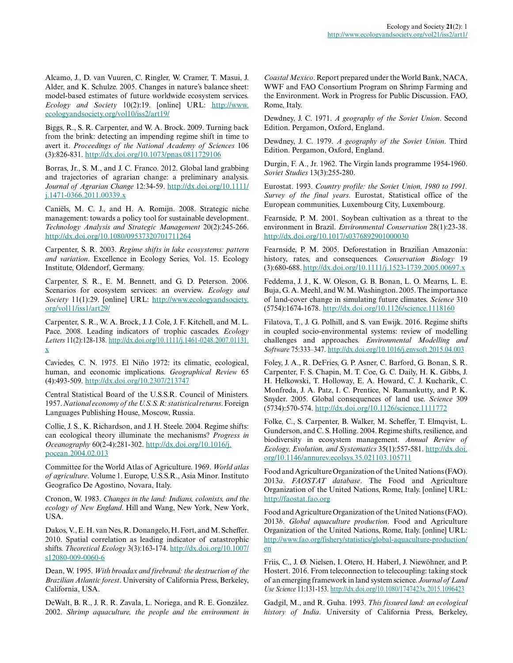Alcamo, J., D. van Vuuren, C. Ringler, W. Cramer, T. Masui, J. Alder, and K. Schulze. 2005. Changes in nature's balance sheet: model-based estimates of future worldwide ecosystem services. *Ecology and Society* 10(2):19. [online] URL: [http://www.](http://www.ecologyandsociety.org/vol10/iss2/art19/) [ecologyandsociety.org/vol10/iss2/art19/](http://www.ecologyandsociety.org/vol10/iss2/art19/)

Biggs, R., S. R. Carpenter, and W. A. Brock. 2009. Turning back from the brink: detecting an impending regime shift in time to avert it. *Proceedings of the National Academy of Sciences* 106 (3):826-831. [http://dx.doi.org/10.1073/pnas.0811729106](http://dx.doi.org/10.1073%2Fpnas.0811729106) 

Borras, Jr., S. M., and J. C. Franco. 2012. Global land grabbing and trajectories of agrarian change: a preliminary analysis. *Journal of Agrarian Change* 12:34-59. [http://dx.doi.org/10.1111/](http://dx.doi.org/10.1111/j.1471-0366.2011.00339.x) [j.1471-0366.2011.00339.x](http://dx.doi.org/10.1111/j.1471-0366.2011.00339.x)

Caniëls, M. C. J., and H. A. Romijn. 2008. Strategic niche management: towards a policy tool for sustainable development. *Technology Analysis and Strategic Management* 20(2):245-266. [http://dx.doi.org/10.1080/09537320701711264](http://dx.doi.org/10.1080%2F09537320701711264) 

Carpenter, S. R. 2003. *Regime shifts in lake ecosystems: pattern and variation*. Excellence in Ecology Series, Vol. 15. Ecology Institute, Oldendorf, Germany.

Carpenter, S. R., E. M. Bennett, and G. D. Peterson. 2006. Scenarios for ecosystem services: an overview. *Ecology and Society* 11(1):29. [online] URL: [http://www.ecologyandsociety.](http://www.ecologyandsociety.org/vol11/iss1/art29/) [org/vol11/iss1/art29/](http://www.ecologyandsociety.org/vol11/iss1/art29/)

Carpenter, S. R., W. A. Brock, J. J. Cole, J. F. Kitchell, and M. L. Pace. 2008. Leading indicators of trophic cascades. *Ecology Letters* 11(2):128-138. [http://dx.doi.org/10.1111/j.1461-0248.2007.01131.](http://dx.doi.org/10.1111%2Fj.1461-0248.2007.01131.x) [x](http://dx.doi.org/10.1111%2Fj.1461-0248.2007.01131.x)

Caviedes, C. N. 1975. El Niño 1972: its climatic, ecological, human, and economic implications. *Geographical Review* 65 (4):493-509. <http://dx.doi.org/10.2307/213747>

Central Statistical Board of the U.S.S.R. Council of Ministers. 1957. *National economy of the U.S.S.R: statistical returns*. Foreign Languages Publishing House, Moscow, Russia.

Collie, J. S., K. Richardson, and J. H. Steele. 2004. Regime shifts: can ecological theory illuminate the mechanisms? *Progress in Oceanography* 60(2-4):281-302. [http://dx.doi.org/10.1016/j.](http://dx.doi.org/10.1016/j.pocean.2004.02.013) [pocean.2004.02.013](http://dx.doi.org/10.1016/j.pocean.2004.02.013)

Committee for the World Atlas of Agriculture. 1969. *World atlas of agriculture*. Volume 1. Europe, U.S.S.R., Asia Minor. Instituto Geografico De Agostino, Novara, Italy.

Cronon, W. 1983. *Changes in the land: Indians, colonists, and the ecology of New England*. Hill and Wang, New York, New York, USA.

Dakos, V., E. H. van Nes, R. Donangelo, H. Fort, and M. Scheffer. 2010. Spatial correlation as leading indicator of catastrophic shifts. *Theoretical Ecology* 3(3):163-174. [http://dx.doi.org/10.1007/](http://dx.doi.org/10.1007%2Fs12080-009-0060-6) [s12080-009-0060-6](http://dx.doi.org/10.1007%2Fs12080-009-0060-6) 

Dean, W. 1995. *With broadax and firebrand: the destruction of the Brazilian Atlantic forest*. University of California Press, Berkeley, California, USA.

DeWalt, B. R., J. R. R. Zavala, L. Noriega, and R. E. González. 2002. *Shrimp aquaculture, the people and the environment in*

*Coastal Mexico*. Report prepared under the World Bank, NACA, WWF and FAO Consortium Program on Shrimp Farming and the Environment. Work in Progress for Public Discussion. FAO, Rome, Italy.

Dewdney, J. C. 1971. *A geography of the Soviet Union*. Second Edition. Pergamon, Oxford, England.

Dewdney, J. C. 1979. *A geography of the Soviet Union*. Third Edition. Pergamon, Oxford, England.

Durgin, F. A., Jr. 1962. The Virgin lands programme 1954-1960. *Soviet Studies* 13(3):255-280.

Eurostat. 1993. *Country profile: the Soviet Union, 1980 to 1991. Survey of the final years*. Eurostat, Statistical office of the European communities, Luxembourg City, Luxembourg.

Fearnside, P. M. 2001. Soybean cultivation as a threat to the environment in Brazil. *Environmental Conservation* 28(1):23-38. [http://dx.doi.org/10.1017/s0376892901000030](http://dx.doi.org/10.1017%2Fs0376892901000030) 

Fearnside, P. M. 2005. Deforestation in Brazilian Amazonia: history, rates, and consequences. *Conservation Biology* 19 (3):680-688. [http://dx.doi.org/10.1111/j.1523-1739.2005.00697.x](http://dx.doi.org/10.1111%2Fj.1523-1739.2005.00697.x)

Feddema, J. J., K. W. Oleson, G. B. Bonan, L. O. Mearns, L. E. Buja, G. A. Meehl, and W. M. Washington. 2005. The importance of land-cover change in simulating future climates. *Science* 310 (5754):1674-1678. [http://dx.doi.org/10.1126/science.1118160](http://dx.doi.org/10.1126%2Fscience.1118160) 

Filatova, T., J. G. Polhill, and S. van Ewijk. 2016. Regime shifts in coupled socio-environmental systems: review of modelling challenges and approaches. *Environmental Modelling and Software* 75:333–347.<http://dx.doi.org/10.1016/j.envsoft.2015.04.003>

Foley, J. A., R. DeFries, G. P. Asner, C. Barford, G. Bonan, S. R. Carpenter, F. S. Chapin, M. T. Coe, G. C. Daily, H. K. Gibbs, J. H. Helkowski, T. Holloway, E. A. Howard, C. J. Kucharik, C. Monfreda, J. A. Patz, I. C. Prentice, N. Ramankutty, and P. K. Snyder. 2005. Global consequences of land use. *Science* 309 (5734):570-574. [http://dx.doi.org/10.1126/science.1111772](http://dx.doi.org/10.1126%2Fscience.1111772) 

Folke, C., S. Carpenter, B. Walker, M. Scheffer, T. Elmqvist, L. Gunderson, and C. S. Holling. 2004. Regime shifts, resilience, and biodiversity in ecosystem management. *Annual Review of Ecology, Evolution, and Systematics* 35(1):557-581. [http://dx.doi.](http://dx.doi.org/10.1146%2Fannurev.ecolsys.35.021103.105711) [org/10.1146/annurev.ecolsys.35.021103.105711](http://dx.doi.org/10.1146%2Fannurev.ecolsys.35.021103.105711)

Food and Agriculture Organization of the United Nations (FAO). 2013*a*. *FAOSTAT database*. The Food and Agriculture Organization of the United Nations, Rome, Italy. [online] URL: <http://faostat.fao.org>

Food and Agriculture Organization of the United Nations (FAO). 2013*b*. *Global aquaculture production*. Food and Agriculture Organization of the United Nations, Rome, Italy. [online] URL: [http://www.fao.org/fishery/statistics/global-aquaculture-production/](http://www.fao.org/fishery/statistics/global-aquaculture-production/en) [en](http://www.fao.org/fishery/statistics/global-aquaculture-production/en) 

Friis, C., J. Ø. Nielsen, I. Otero, H. Haberl, J. Niewöhner, and P. Hostert. 2016. From teleconnection to telecoupling: taking stock of an emerging framework in land system science. *Journal of Land Use Science* 11:131-153. [http://dx.doi.org/10.1080/1747423x.2015.1096423](http://dx.doi.org/10.1080%2F1747423x.2015.1096423)

Gadgil, M., and R. Guha. 1993. *This fissured land: an ecological history of India*. University of California Press, Berkeley,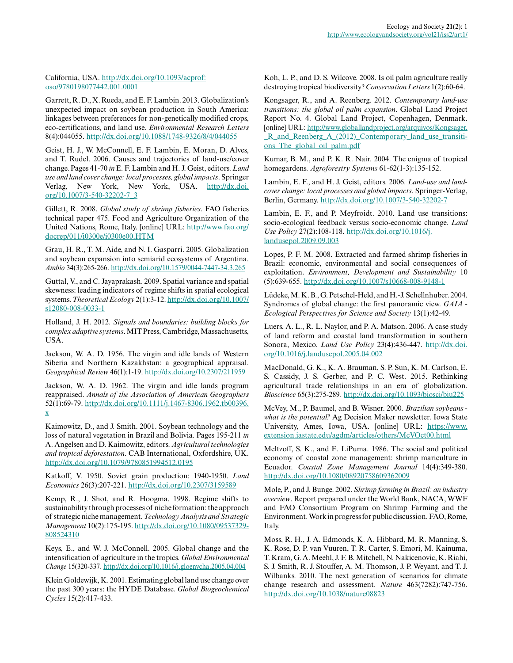California, USA. [http://dx.doi.org/10.1093/acprof:](http://dx.doi.org/10.1093%2Facprof%3Aoso%2F9780198077442.001.0001) [oso/9780198077442.001.0001](http://dx.doi.org/10.1093%2Facprof%3Aoso%2F9780198077442.001.0001) 

Garrett, R. D., X. Rueda, and E. F. Lambin. 2013. Globalization's unexpected impact on soybean production in South America: linkages between preferences for non-genetically modified crops, eco-certifications, and land use. *Environmental Research Letters* 8(4):044055. [http://dx.doi.org/10.1088/1748-9326/8/4/044055](http://dx.doi.org/10.1088%2F1748-9326%2F8%2F4%2F044055)

Geist, H. J., W. McConnell, E. F. Lambin, E. Moran, D. Alves, and T. Rudel. 2006. Causes and trajectories of land-use/cover change. Pages 41-70 *in* E. F. Lambin and H. J. Geist, editors. *Land use and land cover change: local processes, global impacts*. Springer Verlag, New York, New York, USA. [http://dx.doi.](http://dx.doi.org/10.1007%2F3-540-32202-7_3) [org/10.1007/3-540-32202-7\\_3](http://dx.doi.org/10.1007%2F3-540-32202-7_3)

Gillett, R. 2008. *Global study of shrimp fisheries*. FAO fisheries technical paper 475. Food and Agriculture Organization of the United Nations, Rome, Italy. [online] URL: [http://www.fao.org/](http://www.fao.org/docrep/011/i0300e/i0300e00.HTM) [docrep/011/i0300e/i0300e00.HTM](http://www.fao.org/docrep/011/i0300e/i0300e00.HTM) 

Grau, H. R., T. M. Aide, and N. I. Gasparri. 2005. Globalization and soybean expansion into semiarid ecosystems of Argentina. *Ambio* 34(3):265-266. [http://dx.doi.org/10.1579/0044-7447-34.3.265](http://dx.doi.org/10.1579%2F0044-7447-34.3.265) 

Guttal, V., and C. Jayaprakash. 2009. Spatial variance and spatial skewness: leading indicators of regime shifts in spatial ecological systems. *Theoretical Ecology* 2(1):3-12. [http://dx.doi.org/10.1007/](http://dx.doi.org/10.1007%2Fs12080-008-0033-1) [s12080-008-0033-1](http://dx.doi.org/10.1007%2Fs12080-008-0033-1) 

Holland, J. H. 2012. *Signals and boundaries: building blocks for complex adaptive systems*. MIT Press, Cambridge, Massachusetts, USA.

Jackson, W. A. D. 1956. The virgin and idle lands of Western Siberia and Northern Kazakhstan: a geographical appraisal. *Geographical Review* 46(1):1-19. <http://dx.doi.org/10.2307/211959>

Jackson, W. A. D. 1962. The virgin and idle lands program reappraised. *Annals of the Association of American Geographers* 52(1):69-79. [http://dx.doi.org/10.1111/j.1467-8306.1962.tb00396.](http://dx.doi.org/10.1111/j.1467-8306.1962.tb00396.x) [x](http://dx.doi.org/10.1111/j.1467-8306.1962.tb00396.x)

Kaimowitz, D., and J. Smith. 2001. Soybean technology and the loss of natural vegetation in Brazil and Bolivia. Pages 195-211 *in* A. Angelsen and D. Kaimowitz, editors. *Agricultural technologies and tropical deforestation*. CAB International, Oxfordshire, UK. [http://dx.doi.org/10.1079/9780851994512.0195](http://dx.doi.org/10.1079%2F9780851994512.0195)

Katkoff, V. 1950. Soviet grain production: 1940-1950. *Land Economics* 26(3):207-221.<http://dx.doi.org/10.2307/3159589>

Kemp, R., J. Shot, and R. Hoogma. 1998. Regime shifts to sustainability through processes of niche formation: the approach of strategic niche management. *Technology Analysis and Strategic Management* 10(2):175-195. [http://dx.doi.org/10.1080/09537329](http://dx.doi.org/10.1080%2F09537329808524310) [808524310](http://dx.doi.org/10.1080%2F09537329808524310)

Keys, E., and W. J. McConnell. 2005. Global change and the intensification of agriculture in the tropics. *Global Environmental Change* 15(320-337. [http://dx.doi.org/10.1016/j.gloenvcha.2005.04.004](http://dx.doi.org/10.1016%2Fj.gloenvcha.2005.04.004) 

Klein Goldewijk, K. 2001. Estimating global land use change over the past 300 years: the HYDE Database. *Global Biogeochemical Cycles* 15(2):417-433.

Koh, L. P., and D. S. Wilcove. 2008. Is oil palm agriculture really destroying tropical biodiversity? *Conservation Letters* 1(2):60-64.

Kongsager, R., and A. Reenberg. 2012. *Contemporary land-use transitions: the global oil palm expansion*. Global Land Project Report No. 4. Global Land Project, Copenhagen, Denmark. [online] URL: [http://www.globallandproject.org/arquivos/Kongsager,](http://www.globallandproject.org/arquivos/Kongsager,_R_and_Reenberg_A_(2012)_Contemporary_land_use_transitions_The_global_oil_palm.pdf) [\\_R\\_and\\_Reenberg\\_A\\_\(2012\)\\_Contemporary\\_land\\_use\\_transiti](http://www.globallandproject.org/arquivos/Kongsager,_R_and_Reenberg_A_(2012)_Contemporary_land_use_transitions_The_global_oil_palm.pdf)[ons\\_The\\_global\\_oil\\_palm.pdf](http://www.globallandproject.org/arquivos/Kongsager,_R_and_Reenberg_A_(2012)_Contemporary_land_use_transitions_The_global_oil_palm.pdf)

Kumar, B. M., and P. K. R. Nair. 2004. The enigma of tropical homegardens. *Agroforestry Systems* 61-62(1-3):135-152.

Lambin, E. F., and H. J. Geist, editors. 2006. *Land-use and landcover change: local processes and global impacts*. Springer-Verlag, Berlin, Germany. [http://dx.doi.org/10.1007/3-540-32202-7](http://dx.doi.org/10.1007%2F3-540-32202-7) 

Lambin, E. F., and P. Meyfroidt. 2010. Land use transitions: socio-ecological feedback versus socio-economic change. *Land Use Policy* 27(2):108-118. [http://dx.doi.org/10.1016/j.](http://dx.doi.org/10.1016%2Fj.landusepol.2009.09.003) [landusepol.2009.09.003](http://dx.doi.org/10.1016%2Fj.landusepol.2009.09.003)

Lopes, P. F. M. 2008. Extracted and farmed shrimp fisheries in Brazil: economic, environmental and social consequences of exploitation. *Environment, Development and Sustainability* 10 (5):639-655. [http://dx.doi.org/10.1007/s10668-008-9148-1](http://dx.doi.org/10.1007%2Fs10668-008-9148-1) 

Lüdeke, M. K. B., G. Petschel-Held, and H.-J. Schellnhuber. 2004. Syndromes of global change: the first panoramic view. *GAIA - Ecological Perspectives for Science and Society* 13(1):42-49.

Luers, A. L., R. L. Naylor, and P. A. Matson. 2006. A case study of land reform and coastal land transformation in southern Sonora, Mexico. *Land Use Policy* 23(4):436-447. [http://dx.doi.](http://dx.doi.org/10.1016%2Fj.landusepol.2005.04.002) [org/10.1016/j.landusepol.2005.04.002](http://dx.doi.org/10.1016%2Fj.landusepol.2005.04.002) 

MacDonald, G. K., K. A. Brauman, S. P. Sun, K. M. Carlson, E. S. Cassidy, J. S. Gerber, and P. C. West. 2015. Rethinking agricultural trade relationships in an era of globalization. *Bioscience* 65(3):275-289. [http://dx.doi.org/10.1093/biosci/biu225](http://dx.doi.org/10.1093%2Fbiosci%2Fbiu225) 

McVey, M., P. Baumel, and B. Wisner. 2000. *Brazilian soybeans what is the potential?* Ag Decision Maker newsletter. Iowa State University, Ames, Iowa, USA. [online] URL: [https://www.](https://www.extension.iastate.edu/agdm/articles/others/McVOct00.html) [extension.iastate.edu/agdm/articles/others/McVOct00.html](https://www.extension.iastate.edu/agdm/articles/others/McVOct00.html)

Meltzoff, S. K., and E. LiPuma. 1986. The social and political economy of coastal zone management: shrimp mariculture in Ecuador. *Coastal Zone Management Journal* 14(4):349-380. [http://dx.doi.org/10.1080/08920758609362009](http://dx.doi.org/10.1080%2F08920758609362009) 

Mole, P., and J. Bunge. 2002. *Shrimp farming in Brazil: an industry overview*. Report prepared under the World Bank, NACA, WWF and FAO Consortium Program on Shrimp Farming and the Environment. Work in progress for public discussion. FAO, Rome, Italy.

Moss, R. H., J. A. Edmonds, K. A. Hibbard, M. R. Manning, S. K. Rose, D. P. van Vuuren, T. R. Carter, S. Emori, M. Kainuma, T. Kram, G. A. Meehl, J. F. B. Mitchell, N. Nakicenovic, K. Riahi, S. J. Smith, R. J. Stouffer, A. M. Thomson, J. P. Weyant, and T. J. Wilbanks. 2010. The next generation of scenarios for climate change research and assessment. *Nature* 463(7282):747-756. [http://dx.doi.org/10.1038/nature08823](http://dx.doi.org/10.1038%2Fnature08823)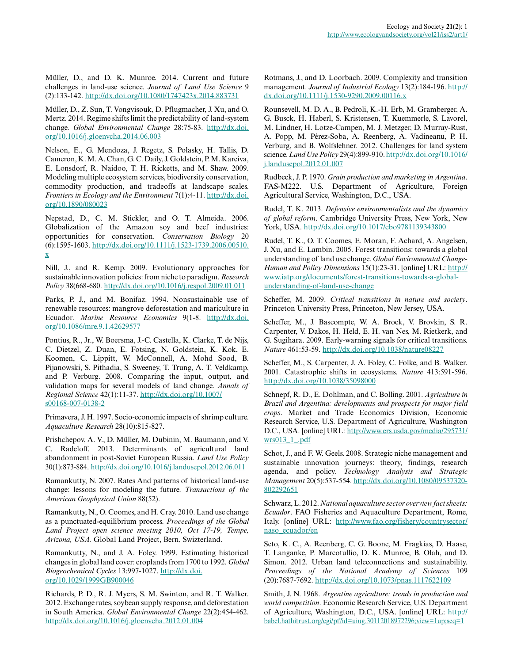Müller, D., and D. K. Munroe. 2014. Current and future challenges in land-use science. *Journal of Land Use Science* 9 (2):133-142. [http://dx.doi.org/10.1080/1747423x.2014.883731](http://dx.doi.org/10.1080%2F1747423x.2014.883731) 

Müller, D., Z. Sun, T. Vongvisouk, D. Pflugmacher, J. Xu, and O. Mertz. 2014. Regime shifts limit the predictability of land-system change. *Global Environmental Change* 28:75-83. [http://dx.doi.](http://dx.doi.org/10.1016%2Fj.gloenvcha.2014.06.003) [org/10.1016/j.gloenvcha.2014.06.003](http://dx.doi.org/10.1016%2Fj.gloenvcha.2014.06.003)

Nelson, E., G. Mendoza, J. Regetz, S. Polasky, H. Tallis, D. Cameron, K. M. A. Chan, G. C. Daily, J. Goldstein, P. M. Kareiva, E. Lonsdorf, R. Naidoo, T. H. Ricketts, and M. Shaw. 2009. Modeling multiple ecosystem services, biodiversity conservation, commodity production, and tradeoffs at landscape scales. *Frontiers in Ecology and the Environment* 7(1):4-11. [http://dx.doi.](http://dx.doi.org/10.1890%2F080023) [org/10.1890/080023](http://dx.doi.org/10.1890%2F080023)

Nepstad, D., C. M. Stickler, and O. T. Almeida. 2006. Globalization of the Amazon soy and beef industries: opportunities for conservation. *Conservation Biology* 20 (6):1595-1603. [http://dx.doi.org/10.1111/j.1523-1739.2006.00510.](http://dx.doi.org/10.1111%2Fj.1523-1739.2006.00510.x) [x](http://dx.doi.org/10.1111%2Fj.1523-1739.2006.00510.x)

Nill, J., and R. Kemp. 2009. Evolutionary approaches for sustainable innovation policies: from niche to paradigm. *Research Policy* 38(668-680. [http://dx.doi.org/10.1016/j.respol.2009.01.011](http://dx.doi.org/10.1016%2Fj.respol.2009.01.011) 

Parks, P. J., and M. Bonifaz. 1994. Nonsustainable use of renewable resources: mangrove deforestation and mariculture in Ecuador. *Marine Resource Economics* 9(1-8. [http://dx.doi.](http://dx.doi.org/10.1086%2Fmre.9.1.42629577) [org/10.1086/mre.9.1.42629577](http://dx.doi.org/10.1086%2Fmre.9.1.42629577) 

Pontius, R., Jr., W. Boersma, J.-C. Castella, K. Clarke, T. de Nijs, C. Dietzel, Z. Duan, E. Fotsing, N. Goldstein, K. Kok, E. Koomen, C. Lippitt, W. McConnell, A. Mohd Sood, B. Pijanowski, S. Pithadia, S. Sweeney, T. Trung, A. T. Veldkamp, and P. Verburg. 2008. Comparing the input, output, and validation maps for several models of land change. *Annals of Regional Science* 42(1):11-37. [http://dx.doi.org/10.1007/](http://dx.doi.org/10.1007%2Fs00168-007-0138-2) [s00168-007-0138-2](http://dx.doi.org/10.1007%2Fs00168-007-0138-2) 

Primavera, J. H. 1997. Socio-economic impacts of shrimp culture. *Aquaculture Research* 28(10):815-827.

Prishchepov, A. V., D. Müller, M. Dubinin, M. Baumann, and V. C. Radeloff. 2013. Determinants of agricultural land abandonment in post-Soviet European Russia. *Land Use Policy* 30(1):873-884. [http://dx.doi.org/10.1016/j.landusepol.2012.06.011](http://dx.doi.org/10.1016%2Fj.landusepol.2012.06.011) 

Ramankutty, N. 2007. Rates And patterns of historical land-use change: lessons for modeling the future. *Transactions of the American Geophysical Union* 88(52).

Ramankutty, N., O. Coomes, and H. Cray. 2010. Land use change as a punctuated-equilibrium process. *Proceedings of the Global Land Project open science meeting 2010, Oct 17-19, Tempe, Arizona, USA.* Global Land Project, Bern, Swizterland.

Ramankutty, N., and J. A. Foley. 1999. Estimating historical changes in global land cover: croplands from 1700 to 1992. *Global Biogeochemical Cycles* 13:997-1027. [http://dx.doi.](http://dx.doi.org/10.1029/1999GB900046) [org/10.1029/1999GB900046](http://dx.doi.org/10.1029/1999GB900046) 

Richards, P. D., R. J. Myers, S. M. Swinton, and R. T. Walker. 2012. Exchange rates, soybean supply response, and deforestation in South America. *Global Environmental Change* 22(2):454-462. [http://dx.doi.org/10.1016/j.gloenvcha.2012.01.004](http://dx.doi.org/10.1016%2Fj.gloenvcha.2012.01.004)

Rotmans, J., and D. Loorbach. 2009. Complexity and transition management. *Journal of Industrial Ecology* 13(2):184-196. [http://](http://dx.doi.org/10.1111%2Fj.1530-9290.2009.00116.x) [dx.doi.org/10.1111/j.1530-9290.2009.00116.x](http://dx.doi.org/10.1111%2Fj.1530-9290.2009.00116.x)

Rounsevell, M. D. A., B. Pedroli, K.-H. Erb, M. Gramberger, A. G. Busck, H. Haberl, S. Kristensen, T. Kuemmerle, S. Lavorel, M. Lindner, H. Lotze-Campen, M. J. Metzger, D. Murray-Rust, A. Popp, M. Pérez-Soba, A. Reenberg, A. Vadineanu, P. H. Verburg, and B. Wolfslehner. 2012. Challenges for land system science. *Land Use Policy* 29(4):899-910. [http://dx.doi.org/10.1016/](http://dx.doi.org/10.1016%2Fj.landusepol.2012.01.007) [j.landusepol.2012.01.007](http://dx.doi.org/10.1016%2Fj.landusepol.2012.01.007)

Rudbeck, J. P. 1970. *Grain production and marketing in Argentina*. FAS-M222. U.S. Department of Agriculture, Foreign Agricultural Service, Washington, D.C., USA.

Rudel, T. K. 2013. *Defensive environmentalists and the dynamics of global reform*. Cambridge University Press, New York, New York, USA. [http://dx.doi.org/10.1017/cbo9781139343800](http://dx.doi.org/10.1017%2Fcbo9781139343800)

Rudel, T. K., O. T. Coomes, E. Moran, F. Achard, A. Angelsen, J. Xu, and E. Lambin. 2005. Forest transitions: towards a global understanding of land use change. *Global Environmental Change-Human and Policy Dimensions* 15(1):23-31. [online] URL: [http://](http://www.iatp.org/documents/forest-transitions-towards-a-global-understanding-of-land-use-change) [www.iatp.org/documents/forest-transitions-towards-a-global](http://www.iatp.org/documents/forest-transitions-towards-a-global-understanding-of-land-use-change)[understanding-of-land-use-change](http://www.iatp.org/documents/forest-transitions-towards-a-global-understanding-of-land-use-change)

Scheffer, M. 2009. *Critical transitions in nature and society*. Princeton University Press, Princeton, New Jersey, USA.

Scheffer, M., J. Bascompte, W. A. Brock, V. Brovkin, S. R. Carpenter, V. Dakos, H. Held, E. H. van Nes, M. Rietkerk, and G. Sugihara. 2009. Early-warning signals for critical transitions. *Nature* 461:53-59. [http://dx.doi.org/10.1038/nature08227](http://dx.doi.org/10.1038%2Fnature08227)

Scheffer, M., S. Carpenter, J. A. Foley, C. Folke, and B. Walker. 2001. Catastrophic shifts in ecosystems. *Nature* 413:591-596. [http://dx.doi.org/10.1038/35098000](http://dx.doi.org/10.1038%2F35098000)

Schnepf, R. D., E. Dohlman, and C. Bolling. 2001. *Agriculture in Brazil and Argentina: developments and prospects for major field crops*. Market and Trade Economics Division, Economic Research Service, U.S. Department of Agriculture, Washington D.C., USA. [online] URL: [http://www.ers.usda.gov/media/295731/](http://www.ers.usda.gov/media/295731/wrs013_1_.pdf) [wrs013\\_1\\_.pdf](http://www.ers.usda.gov/media/295731/wrs013_1_.pdf)

Schot, J., and F. W. Geels. 2008. Strategic niche management and sustainable innovation journeys: theory, findings, research agenda, and policy. *Technology Analysis and Strategic Management* 20(5):537-554. [http://dx.doi.org/10.1080/09537320](http://dx.doi.org/10.1080%2F09537320802292651) [802292651](http://dx.doi.org/10.1080%2F09537320802292651) 

Schwarz, L. 2012. *National aquaculture sector overview fact sheets: Ecuador*. FAO Fisheries and Aquaculture Department, Rome, Italy. [online] URL: [http://www.fao.org/fishery/countrysector/](http://www.fao.org/fishery/countrysector/naso_ecuador/en) [naso\\_ecuador/en](http://www.fao.org/fishery/countrysector/naso_ecuador/en) 

Seto, K. C., A. Reenberg, C. G. Boone, M. Fragkias, D. Haase, T. Langanke, P. Marcotullio, D. K. Munroe, B. Olah, and D. Simon. 2012. Urban land teleconnections and sustainability. *Proceedings of the National Academy of Sciences* 109 (20):7687-7692. [http://dx.doi.org/10.1073/pnas.1117622109](http://dx.doi.org/10.1073%2Fpnas.1117622109)

Smith, J. N. 1968. *Argentine agriculture: trends in production and world competition*. Economic Research Service, U.S. Department of Agriculture, Washington, D.C., USA. [online] URL: [http://](http://babel.hathitrust.org/cgi/pt?id=uiug.30112018972296;view=1up;seq=1) [babel.hathitrust.org/cgi/pt?id=uiug.30112018972296;view=1up;seq=1](http://babel.hathitrust.org/cgi/pt?id=uiug.30112018972296;view=1up;seq=1)